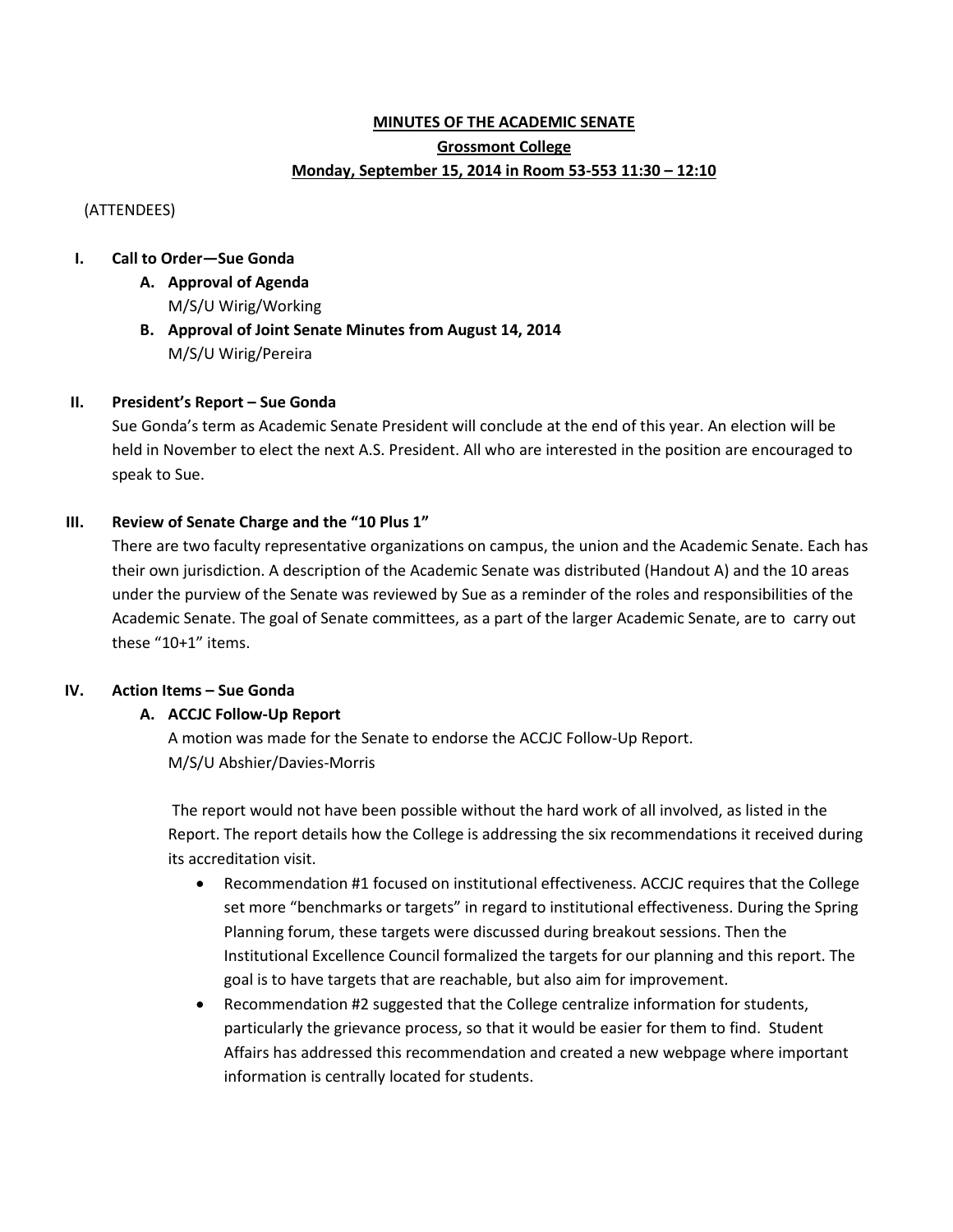# **MINUTES OF THE ACADEMIC SENATE Grossmont College Monday, September 15, 2014 in Room 53-553 11:30 – 12:10**

(ATTENDEES)

### **I. Call to Order—Sue Gonda**

- **A. Approval of Agenda** M/S/U Wirig/Working
- **B. Approval of Joint Senate Minutes from August 14, 2014** M/S/U Wirig/Pereira

## **II. President's Report – Sue Gonda**

Sue Gonda's term as Academic Senate President will conclude at the end of this year. An election will be held in November to elect the next A.S. President. All who are interested in the position are encouraged to speak to Sue.

### **III. Review of Senate Charge and the "10 Plus 1"**

There are two faculty representative organizations on campus, the union and the Academic Senate. Each has their own jurisdiction. A description of the Academic Senate was distributed (Handout A) and the 10 areas under the purview of the Senate was reviewed by Sue as a reminder of the roles and responsibilities of the Academic Senate. The goal of Senate committees, as a part of the larger Academic Senate, are to carry out these "10+1" items.

#### **IV. Action Items – Sue Gonda**

## **A. ACCJC Follow-Up Report**

A motion was made for the Senate to endorse the ACCJC Follow-Up Report. M/S/U Abshier/Davies-Morris

The report would not have been possible without the hard work of all involved, as listed in the Report. The report details how the College is addressing the six recommendations it received during its accreditation visit.

- Recommendation #1 focused on institutional effectiveness. ACCJC requires that the College set more "benchmarks or targets" in regard to institutional effectiveness. During the Spring Planning forum, these targets were discussed during breakout sessions. Then the Institutional Excellence Council formalized the targets for our planning and this report. The goal is to have targets that are reachable, but also aim for improvement.
- Recommendation #2 suggested that the College centralize information for students, particularly the grievance process, so that it would be easier for them to find. Student Affairs has addressed this recommendation and created a new webpage where important information is centrally located for students.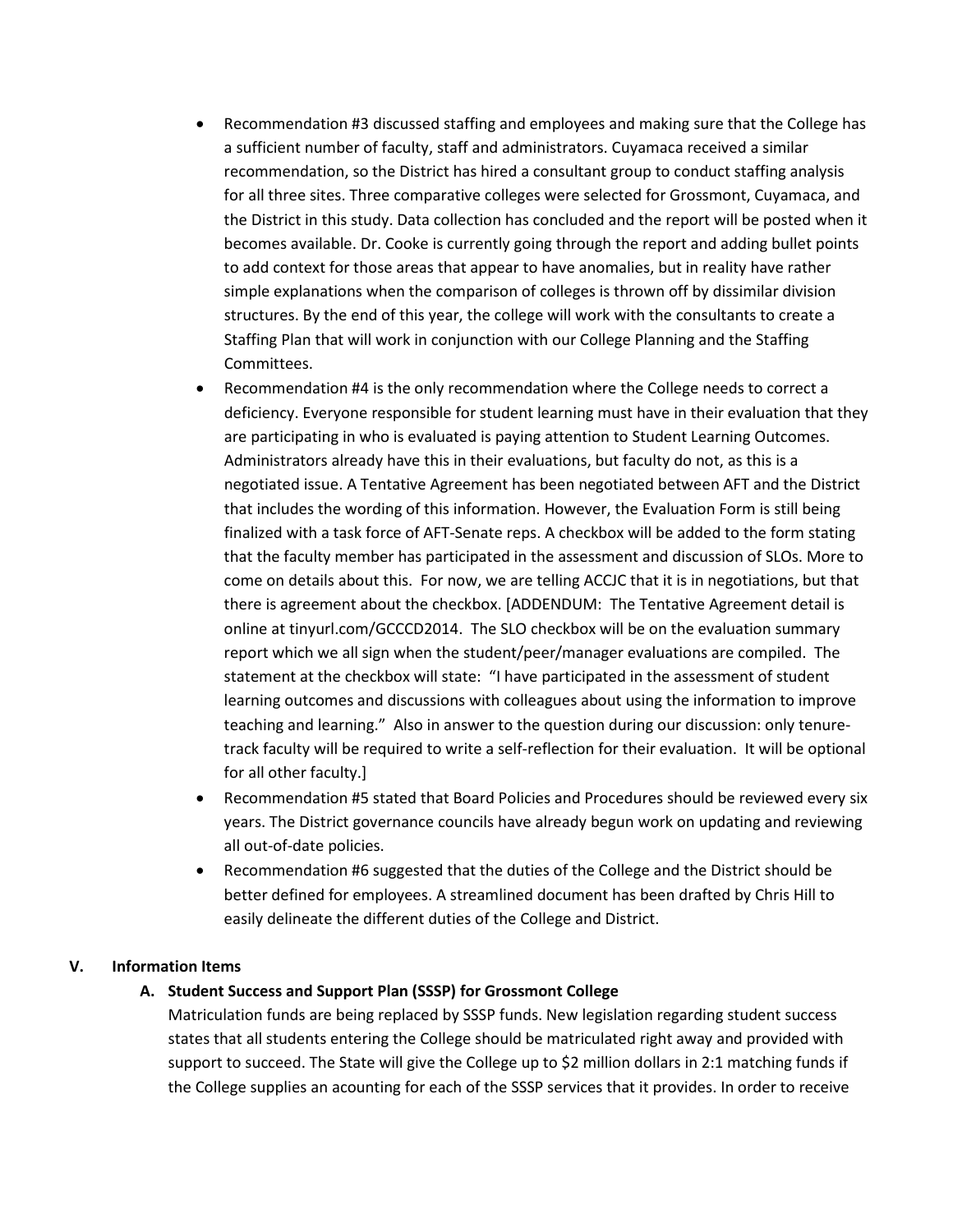- Recommendation #3 discussed staffing and employees and making sure that the College has a sufficient number of faculty, staff and administrators. Cuyamaca received a similar recommendation, so the District has hired a consultant group to conduct staffing analysis for all three sites. Three comparative colleges were selected for Grossmont, Cuyamaca, and the District in this study. Data collection has concluded and the report will be posted when it becomes available. Dr. Cooke is currently going through the report and adding bullet points to add context for those areas that appear to have anomalies, but in reality have rather simple explanations when the comparison of colleges is thrown off by dissimilar division structures. By the end of this year, the college will work with the consultants to create a Staffing Plan that will work in conjunction with our College Planning and the Staffing Committees.
- Recommendation #4 is the only recommendation where the College needs to correct a deficiency. Everyone responsible for student learning must have in their evaluation that they are participating in who is evaluated is paying attention to Student Learning Outcomes. Administrators already have this in their evaluations, but faculty do not, as this is a negotiated issue. A Tentative Agreement has been negotiated between AFT and the District that includes the wording of this information. However, the Evaluation Form is still being finalized with a task force of AFT-Senate reps. A checkbox will be added to the form stating that the faculty member has participated in the assessment and discussion of SLOs. More to come on details about this. For now, we are telling ACCJC that it is in negotiations, but that there is agreement about the checkbox. [ADDENDUM: The Tentative Agreement detail is online at tinyurl.com/GCCCD2014. The SLO checkbox will be on the evaluation summary report which we all sign when the student/peer/manager evaluations are compiled. The statement at the checkbox will state: "I have participated in the assessment of student learning outcomes and discussions with colleagues about using the information to improve teaching and learning." Also in answer to the question during our discussion: only tenuretrack faculty will be required to write a self-reflection for their evaluation. It will be optional for all other faculty.]
- Recommendation #5 stated that Board Policies and Procedures should be reviewed every six years. The District governance councils have already begun work on updating and reviewing all out-of-date policies.
- Recommendation #6 suggested that the duties of the College and the District should be better defined for employees. A streamlined document has been drafted by Chris Hill to easily delineate the different duties of the College and District.

#### **V. Information Items**

#### **A. Student Success and Support Plan (SSSP) for Grossmont College**

Matriculation funds are being replaced by SSSP funds. New legislation regarding student success states that all students entering the College should be matriculated right away and provided with support to succeed. The State will give the College up to \$2 million dollars in 2:1 matching funds if the College supplies an acounting for each of the SSSP services that it provides. In order to receive